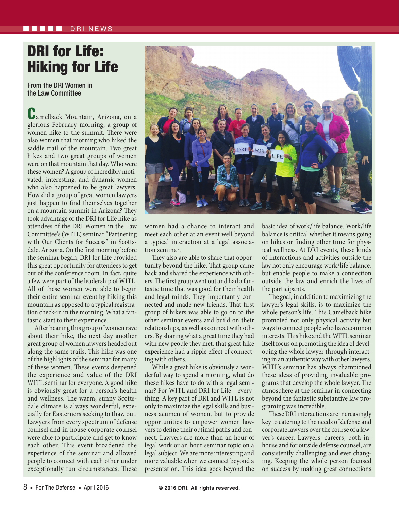## DRI for Life: Hiking for Life

From the DRI Women in the Law Committee

Camelback Mountain, Arizona, on a glorious February morning, a group of women hike to the summit. There were also women that morning who hiked the saddle trail of the mountain. Two great hikes and two great groups of women were on that mountain that day. Who were these women? A group of incredibly motivated, interesting, and dynamic women who also happened to be great lawyers. How did a group of great women lawyers just happen to find themselves together on a mountain summit in Arizona? They took advantage of the DRI for Life hike as attendees of the DRI Women in the Law Committee's (WITL) seminar "Partnering with Our Clients for Success" in Scottsdale, Arizona. On the first morning before the seminar began, DRI for Life provided this great opportunity for attendees to get out of the conference room. In fact, quite a few were part of the leadership of WITL. All of these women were able to begin their entire seminar event by hiking this mountain as opposed to a typical registration check-in in the morning. What a fantastic start to their experience.

After hearing this group of women rave about their hike, the next day another great group of women lawyers headed out along the same trails. This hike was one of the highlights of the seminar for many of these women. These events deepened the experience and value of the DRI WITL seminar for everyone. A good hike is obviously great for a person's health and wellness. The warm, sunny Scottsdale climate is always wonderful, especially for Easterners seeking to thaw out. Lawyers from every spectrum of defense counsel and in-house corporate counsel were able to participate and get to know each other. This event broadened the experience of the seminar and allowed people to connect with each other under exceptionally fun circumstances. These



women had a chance to interact and meet each other at an event well beyond a typical interaction at a legal association seminar.

They also are able to share that opportunity beyond the hike. That group came back and shared the experience with others. The first group went out and had a fantastic time that was good for their health and legal minds. They importantly connected and made new friends. That first group of hikers was able to go on to the other seminar events and build on their relationships, as well as connect with others. By sharing what a great time they had with new people they met, that great hike experience had a ripple effect of connecting with others.

While a great hike is obviously a wonderful way to spend a morning, what do these hikes have to do with a legal seminar? For WITL and DRI for Life—everything. A key part of DRI and WITL is not only to maximize the legal skills and business acumen of women, but to provide opportunities to empower women lawyers to define their optimal paths and connect. Lawyers are more than an hour of legal work or an hour seminar topic on a legal subject. We are more interesting and more valuable when we connect beyond a presentation. This idea goes beyond the basic idea of work/life balance. Work/life balance is critical whether it means going on hikes or finding other time for physical wellness. At DRI events, these kinds of interactions and activities outside the law not only encourage work/life balance, but enable people to make a connection outside the law and enrich the lives of the participants.

The goal, in addition to maximizing the lawyer's legal skills, is to maximize the whole person's life. This Camelback hike promoted not only physical activity but ways to connect people who have common interests. This hike and the WITL seminar itself focus on promoting the idea of developing the whole lawyer through interacting in an authentic way with other lawyers. WITL's seminar has always championed these ideas of providing invaluable programs that develop the whole lawyer. The atmosphere at the seminar in connecting beyond the fantastic substantive law programing was incredible.

These DRI interactions are increasingly key to catering to the needs of defense and corporate lawyers over the course of a lawyer's career. Lawyers' careers, both inhouse and for outside defense counsel, are consistently challenging and ever changing. Keeping the whole person focused on success by making great connections